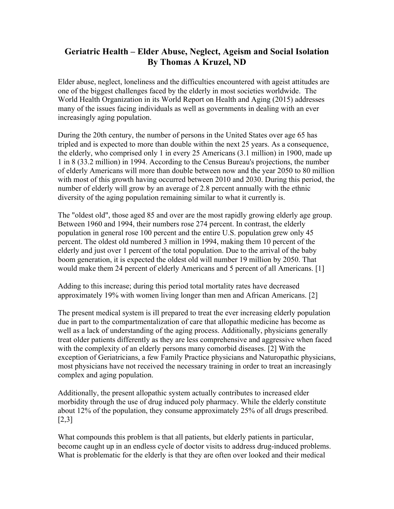# **Geriatric Health – Elder Abuse, Neglect, Ageism and Social Isolation By Thomas A Kruzel, ND**

Elder abuse, neglect, loneliness and the difficulties encountered with ageist attitudes are one of the biggest challenges faced by the elderly in most societies worldwide. The World Health Organization in its World Report on Health and Aging (2015) addresses many of the issues facing individuals as well as governments in dealing with an ever increasingly aging population.

During the 20th century, the number of persons in the United States over age 65 has tripled and is expected to more than double within the next 25 years. As a consequence, the elderly, who comprised only 1 in every 25 Americans (3.1 million) in 1900, made up 1 in 8 (33.2 million) in 1994. According to the Census Bureau's projections, the number of elderly Americans will more than double between now and the year 2050 to 80 million with most of this growth having occurred between 2010 and 2030. During this period, the number of elderly will grow by an average of 2.8 percent annually with the ethnic diversity of the aging population remaining similar to what it currently is.

The "oldest old", those aged 85 and over are the most rapidly growing elderly age group. Between 1960 and 1994, their numbers rose 274 percent. In contrast, the elderly population in general rose 100 percent and the entire U.S. population grew only 45 percent. The oldest old numbered 3 million in 1994, making them 10 percent of the elderly and just over 1 percent of the total population. Due to the arrival of the baby boom generation, it is expected the oldest old will number 19 million by 2050. That would make them 24 percent of elderly Americans and 5 percent of all Americans. [1]

Adding to this increase; during this period total mortality rates have decreased approximately 19% with women living longer than men and African Americans. [2]

The present medical system is ill prepared to treat the ever increasing elderly population due in part to the compartmentalization of care that allopathic medicine has become as well as a lack of understanding of the aging process. Additionally, physicians generally treat older patients differently as they are less comprehensive and aggressive when faced with the complexity of an elderly persons many comorbid diseases. [2] With the exception of Geriatricians, a few Family Practice physicians and Naturopathic physicians, most physicians have not received the necessary training in order to treat an increasingly complex and aging population.

Additionally, the present allopathic system actually contributes to increased elder morbidity through the use of drug induced poly pharmacy. While the elderly constitute about 12% of the population, they consume approximately 25% of all drugs prescribed. [2,3]

What compounds this problem is that all patients, but elderly patients in particular, become caught up in an endless cycle of doctor visits to address drug-induced problems. What is problematic for the elderly is that they are often over looked and their medical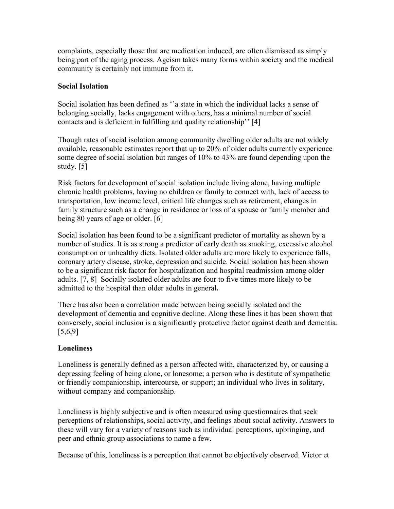complaints, especially those that are medication induced, are often dismissed as simply being part of the aging process. Ageism takes many forms within society and the medical community is certainly not immune from it.

### **Social Isolation**

Social isolation has been defined as ''a state in which the individual lacks a sense of belonging socially, lacks engagement with others, has a minimal number of social contacts and is deficient in fulfilling and quality relationship'' [4]

Though rates of social isolation among community dwelling older adults are not widely available, reasonable estimates report that up to 20% of older adults currently experience some degree of social isolation but ranges of 10% to 43% are found depending upon the study. [5]

Risk factors for development of social isolation include living alone, having multiple chronic health problems, having no children or family to connect with, lack of access to transportation, low income level, critical life changes such as retirement, changes in family structure such as a change in residence or loss of a spouse or family member and being 80 years of age or older. [6]

Social isolation has been found to be a significant predictor of mortality as shown by a number of studies. It is as strong a predictor of early death as smoking, excessive alcohol consumption or unhealthy diets. Isolated older adults are more likely to experience falls, coronary artery disease, stroke, depression and suicide. Social isolation has been shown to be a significant risk factor for hospitalization and hospital readmission among older adults. [7, 8] Socially isolated older adults are four to five times more likely to be admitted to the hospital than older adults in general**.**

There has also been a correlation made between being socially isolated and the development of dementia and cognitive decline. Along these lines it has been shown that conversely, social inclusion is a significantly protective factor against death and dementia.  $[5,6,9]$ 

## **Loneliness**

Loneliness is generally defined as a person affected with, characterized by, or causing a depressing feeling of being alone, or lonesome; a person who is destitute of sympathetic or friendly companionship, intercourse, or support; an individual who lives in solitary, without company and companionship.

Loneliness is highly subjective and is often measured using questionnaires that seek perceptions of relationships, social activity, and feelings about social activity. Answers to these will vary for a variety of reasons such as individual perceptions, upbringing, and peer and ethnic group associations to name a few.

Because of this, loneliness is a perception that cannot be objectively observed. Victor et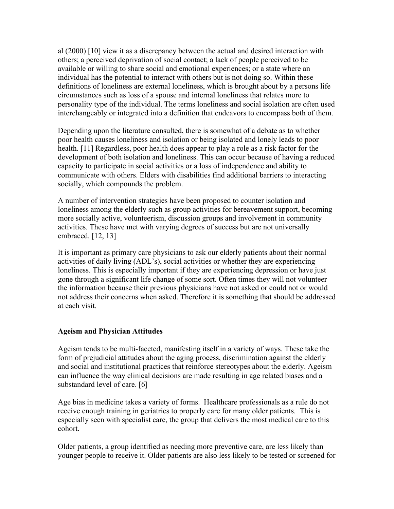al (2000) [10] view it as a discrepancy between the actual and desired interaction with others; a perceived deprivation of social contact; a lack of people perceived to be available or willing to share social and emotional experiences; or a state where an individual has the potential to interact with others but is not doing so. Within these definitions of loneliness are external loneliness, which is brought about by a persons life circumstances such as loss of a spouse and internal loneliness that relates more to personality type of the individual. The terms loneliness and social isolation are often used interchangeably or integrated into a definition that endeavors to encompass both of them.

Depending upon the literature consulted, there is somewhat of a debate as to whether poor health causes loneliness and isolation or being isolated and lonely leads to poor health. [11] Regardless, poor health does appear to play a role as a risk factor for the development of both isolation and loneliness. This can occur because of having a reduced capacity to participate in social activities or a loss of independence and ability to communicate with others. Elders with disabilities find additional barriers to interacting socially, which compounds the problem.

A number of intervention strategies have been proposed to counter isolation and loneliness among the elderly such as group activities for bereavement support, becoming more socially active, volunteerism, discussion groups and involvement in community activities. These have met with varying degrees of success but are not universally embraced. [12, 13]

It is important as primary care physicians to ask our elderly patients about their normal activities of daily living (ADL's), social activities or whether they are experiencing loneliness. This is especially important if they are experiencing depression or have just gone through a significant life change of some sort. Often times they will not volunteer the information because their previous physicians have not asked or could not or would not address their concerns when asked. Therefore it is something that should be addressed at each visit.

### **Ageism and Physician Attitudes**

Ageism tends to be multi-faceted, manifesting itself in a variety of ways. These take the form of prejudicial attitudes about the aging process, discrimination against the elderly and social and institutional practices that reinforce stereotypes about the elderly. Ageism can influence the way clinical decisions are made resulting in age related biases and a substandard level of care. [6]

Age bias in medicine takes a variety of forms. Healthcare professionals as a rule do not receive enough training in geriatrics to properly care for many older patients. This is especially seen with specialist care, the group that delivers the most medical care to this cohort.

Older patients, a group identified as needing more preventive care, are less likely than younger people to receive it. Older patients are also less likely to be tested or screened for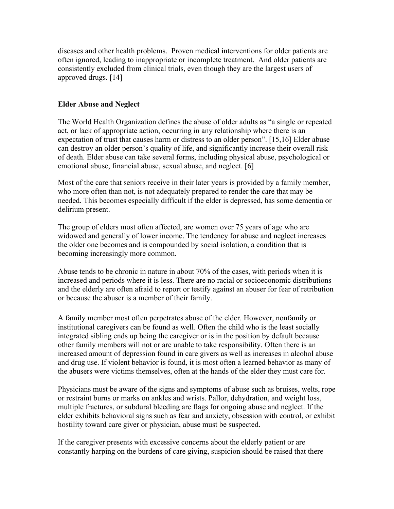diseases and other health problems. Proven medical interventions for older patients are often ignored, leading to inappropriate or incomplete treatment. And older patients are consistently excluded from clinical trials, even though they are the largest users of approved drugs. [14]

### **Elder Abuse and Neglect**

The World Health Organization defines the abuse of older adults as "a single or repeated act, or lack of appropriate action, occurring in any relationship where there is an expectation of trust that causes harm or distress to an older person". [15,16] Elder abuse can destroy an older person's quality of life, and significantly increase their overall risk of death. Elder abuse can take several forms, including physical abuse, psychological or emotional abuse, financial abuse, sexual abuse, and neglect. [6]

Most of the care that seniors receive in their later years is provided by a family member, who more often than not, is not adequately prepared to render the care that may be needed. This becomes especially difficult if the elder is depressed, has some dementia or delirium present.

The group of elders most often affected, are women over 75 years of age who are widowed and generally of lower income. The tendency for abuse and neglect increases the older one becomes and is compounded by social isolation, a condition that is becoming increasingly more common.

Abuse tends to be chronic in nature in about 70% of the cases, with periods when it is increased and periods where it is less. There are no racial or socioeconomic distributions and the elderly are often afraid to report or testify against an abuser for fear of retribution or because the abuser is a member of their family.

A family member most often perpetrates abuse of the elder. However, nonfamily or institutional caregivers can be found as well. Often the child who is the least socially integrated sibling ends up being the caregiver or is in the position by default because other family members will not or are unable to take responsibility. Often there is an increased amount of depression found in care givers as well as increases in alcohol abuse and drug use. If violent behavior is found, it is most often a learned behavior as many of the abusers were victims themselves, often at the hands of the elder they must care for.

Physicians must be aware of the signs and symptoms of abuse such as bruises, welts, rope or restraint burns or marks on ankles and wrists. Pallor, dehydration, and weight loss, multiple fractures, or subdural bleeding are flags for ongoing abuse and neglect. If the elder exhibits behavioral signs such as fear and anxiety, obsession with control, or exhibit hostility toward care giver or physician, abuse must be suspected.

If the caregiver presents with excessive concerns about the elderly patient or are constantly harping on the burdens of care giving, suspicion should be raised that there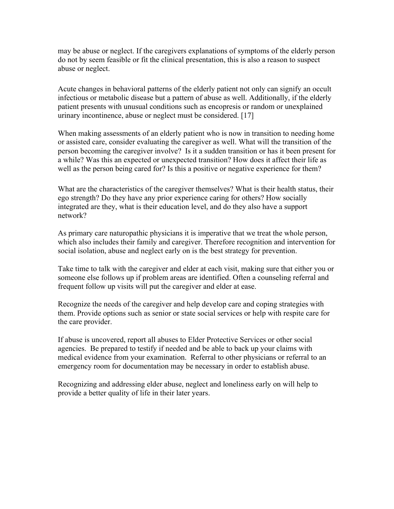may be abuse or neglect. If the caregivers explanations of symptoms of the elderly person do not by seem feasible or fit the clinical presentation, this is also a reason to suspect abuse or neglect.

Acute changes in behavioral patterns of the elderly patient not only can signify an occult infectious or metabolic disease but a pattern of abuse as well. Additionally, if the elderly patient presents with unusual conditions such as encopresis or random or unexplained urinary incontinence, abuse or neglect must be considered. [17]

When making assessments of an elderly patient who is now in transition to needing home or assisted care, consider evaluating the caregiver as well. What will the transition of the person becoming the caregiver involve? Is it a sudden transition or has it been present for a while? Was this an expected or unexpected transition? How does it affect their life as well as the person being cared for? Is this a positive or negative experience for them?

What are the characteristics of the caregiver themselves? What is their health status, their ego strength? Do they have any prior experience caring for others? How socially integrated are they, what is their education level, and do they also have a support network?

As primary care naturopathic physicians it is imperative that we treat the whole person, which also includes their family and caregiver. Therefore recognition and intervention for social isolation, abuse and neglect early on is the best strategy for prevention.

Take time to talk with the caregiver and elder at each visit, making sure that either you or someone else follows up if problem areas are identified. Often a counseling referral and frequent follow up visits will put the caregiver and elder at ease.

Recognize the needs of the caregiver and help develop care and coping strategies with them. Provide options such as senior or state social services or help with respite care for the care provider.

If abuse is uncovered, report all abuses to Elder Protective Services or other social agencies. Be prepared to testify if needed and be able to back up your claims with medical evidence from your examination. Referral to other physicians or referral to an emergency room for documentation may be necessary in order to establish abuse.

Recognizing and addressing elder abuse, neglect and loneliness early on will help to provide a better quality of life in their later years.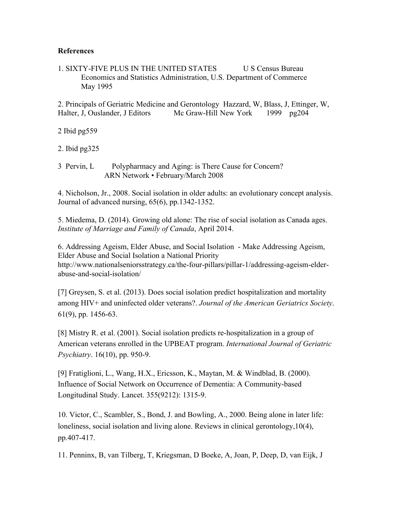#### **References**

1. SIXTY-FIVE PLUS IN THE UNITED STATES US Census Bureau Economics and Statistics Administration, U.S. Department of Commerce May 1995

2. Principals of Geriatric Medicine and Gerontology Hazzard, W, Blass, J, Ettinger, W, Halter, J, Ouslander, J Editors Mc Graw-Hill New York 1999 pg204

2 Ibid pg559

2. Ibid pg325

3 Pervin, L Polypharmacy and Aging: is There Cause for Concern? ARN Network • February/March 2008

4. Nicholson, Jr., 2008. Social isolation in older adults: an evolutionary concept analysis. Journal of advanced nursing, 65(6), pp.1342-1352.

5. Miedema, D. (2014). Growing old alone: The rise of social isolation as Canada ages. *Institute of Marriage and Family of Canada*, April 2014.

6. Addressing Ageism, Elder Abuse, and Social Isolation - Make Addressing Ageism, Elder Abuse and Social Isolation a National Priority http://www.nationalseniorsstrategy.ca/the-four-pillars/pillar-1/addressing-ageism-elderabuse-and-social-isolation/

[7] Greysen, S. et al. (2013). Does social isolation predict hospitalization and mortality among HIV+ and uninfected older veterans?. *Journal of the American Geriatrics Society*. 61(9), pp. 1456-63.

[8] Mistry R. et al. (2001). Social isolation predicts re-hospitalization in a group of American veterans enrolled in the UPBEAT program. *International Journal of Geriatric Psychiatry*. 16(10), pp. 950-9.

[9] Fratiglioni, L., Wang, H.X., Ericsson, K., Maytan, M. & Windblad, B. (2000). Influence of Social Network on Occurrence of Dementia: A Community-based Longitudinal Study. Lancet. 355(9212): 1315-9.

10. Victor, C., Scambler, S., Bond, J. and Bowling, A., 2000. Being alone in later life: loneliness, social isolation and living alone. Reviews in clinical gerontology,10(4), pp.407-417.

11. Penninx, B, van Tilberg, T, Kriegsman, D Boeke, A, Joan, P, Deep, D, van Eijk, J